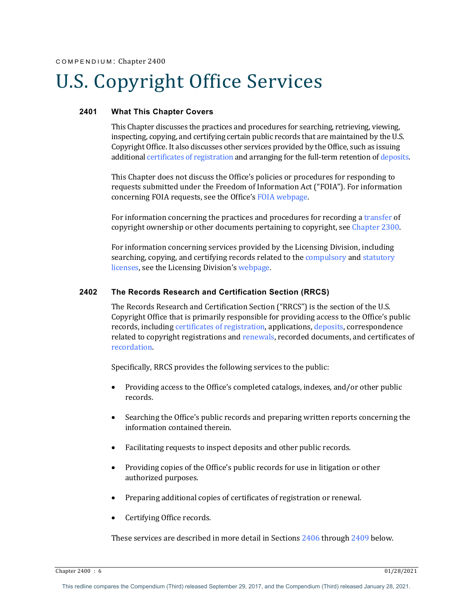# U.S. Copyright Office Services

# **2401 What This Chapter Covers**

This Chapter discusses the practices and procedures for searching, retrieving, viewing, inspecting, copying, and certifying certain public records that are maintained by the U.S. Copyright Office. It also discusses other services provided by the Office, such as issuing additional certificates of registration and arranging for the full-term retention of deposits.

This Chapter does not discuss the Office's policies or procedures for responding to requests submitted under the Freedom of Information Act ("FOIA"). For information concerning FOIA requests, see the Office's FOIA webpage.

For information concerning the practices and procedures for recording a transfer of copyright ownership or other documents pertaining to copyright, see Chapter 2300.

For information concerning services provided by the Licensing Division, including searching, copying, and certifying records related to the compulsory and statutory licenses, see the Licensing Division's webpage.

#### **2402 The Records Research and Certification Section (RRCS)**

The Records Research and Certification Section ("RRCS") is the section of the U.S. Copyright Office that is primarily responsible for providing access to the Office's public records, including certificates of registration, applications, deposits, correspondence related to copyright registrations and renewals, recorded documents, and certificates of recordation. 

Specifically, RRCS provides the following services to the public:

- Providing access to the Office's completed catalogs, indexes, and/or other public records.
- Searching the Office's public records and preparing written reports concerning the information contained therein.
- Facilitating requests to inspect deposits and other public records.
- Providing copies of the Office's public records for use in litigation or other authorized purposes.
- Preparing additional copies of certificates of registration or renewal.
- Certifying Office records.

These services are described in more detail in Sections 2406 through 2409 below.

 $\frac{6}{22}$ Chapter 2400 : 6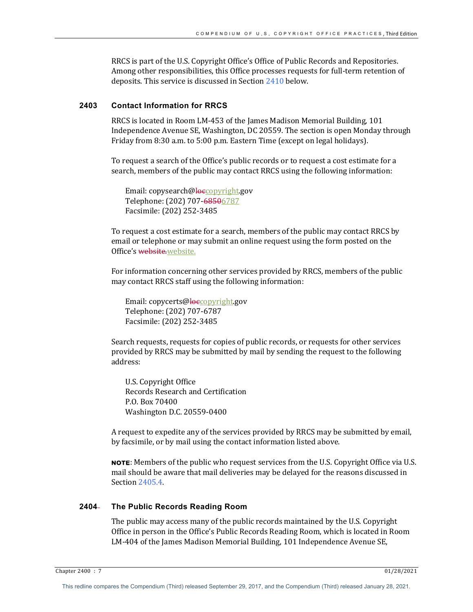RRCS is part of the U.S. Copyright Office's Office of Public Records and Repositories. Among other responsibilities, this Office processes requests for full-term retention of deposits. This service is discussed in Section 2410 below.

#### **2403 Contact Information for RRCS**

RRCS is located in Room LM-453 of the James Madison Memorial Building, 101 Independence Avenue SE, Washington, DC 20559. The section is open Monday through Friday from 8:30 a.m. to 5:00 p.m. Eastern Time (except on legal holidays).

To request a search of the Office's public records or to request a cost estimate for a search, members of the public may contact RRCS using the following information:

Email: copysearch@loccopyright.gov Telephone: (202) 707-68506787 Facsimile: (202) 252-3485 

To request a cost estimate for a search, members of the public may contact RRCS by email or telephone or may submit an online request using the form posted on the Office's website.website.

For information concerning other services provided by RRCS, members of the public may contact RRCS staff using the following information:

Email: copycerts@loccopyright.gov Telephone: (202) 707-6787 Facsimile: (202) 252-3485

Search requests, requests for copies of public records, or requests for other services provided by RRCS may be submitted by mail by sending the request to the following address:

U.S. Copyright Office Records Research and Certification P.O. Box 70400 Washington D.C. 20559-0400

A request to expedite any of the services provided by RRCS may be submitted by email, by facsimile, or by mail using the contact information listed above.

**NOTE:** Members of the public who request services from the U.S. Copyright Office via U.S. mail should be aware that mail deliveries may be delayed for the reasons discussed in Section 2405.4.

# **2404 The Public Records Reading Room**

The public may access many of the public records maintained by the U.S. Copyright Office in person in the Office's Public Records Reading Room, which is located in Room LM-404 of the James Madison Memorial Building, 101 Independence Avenue SE,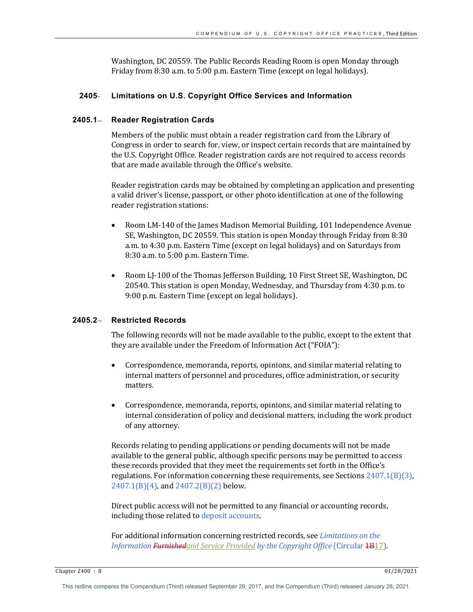Washington, DC 20559. The Public Records Reading Room is open Monday through Friday from 8:30 a.m. to 5:00 p.m. Eastern Time (except on legal holidays).

## **2405 Limitations on U.S. Copyright Office Services and Information**

#### **2405.1 Reader Registration Cards**

Members of the public must obtain a reader registration card from the Library of Congress in order to search for, view, or inspect certain records that are maintained by the U.S. Copyright Office. Reader registration cards are not required to access records that are made available through the Office's website.

Reader registration cards may be obtained by completing an application and presenting a valid driver's license, passport, or other photo identification at one of the following reader registration stations:

- Room LM-140 of the James Madison Memorial Building, 101 Independence Avenue SE, Washington, DC 20559. This station is open Monday through Friday from 8:30 a.m. to 4:30 p.m. Eastern Time (except on legal holidays) and on Saturdays from 8:30 a.m. to 5:00 p.m. Eastern Time.
- Room LJ-100 of the Thomas Jefferson Building, 10 First Street SE, Washington, DC 20540. This station is open Monday, Wednesday, and Thursday from 4:30 p.m. to 9:00 p.m. Eastern Time (except on legal holidays).

# **2405.2 Restricted Records**

The following records will not be made available to the public, except to the extent that they are available under the Freedom of Information Act ("FOIA"):

- Correspondence, memoranda, reports, opinions, and similar material relating to internal matters of personnel and procedures, office administration, or security matters.
- Correspondence, memoranda, reports, opinions, and similar material relating to internal consideration of policy and decisional matters, including the work product of any attorney.

Records relating to pending applications or pending documents will not be made available to the general public, although specific persons may be permitted to access these records provided that they meet the requirements set forth in the Office's regulations. For information concerning these requirements, see Sections  $2407.1(B)(3)$ ,  $2407.1(B)(4)$ , and  $2407.2(B)(2)$  below.

Direct public access will not be permitted to any financial or accounting records, including those related to deposit accounts.

For additional information concerning restricted records, see *Limitations on the Information* Furnishedand Service Provided by the Copyright Office (Circular 4B17).

Chapter 2400 : 8 01/28/2021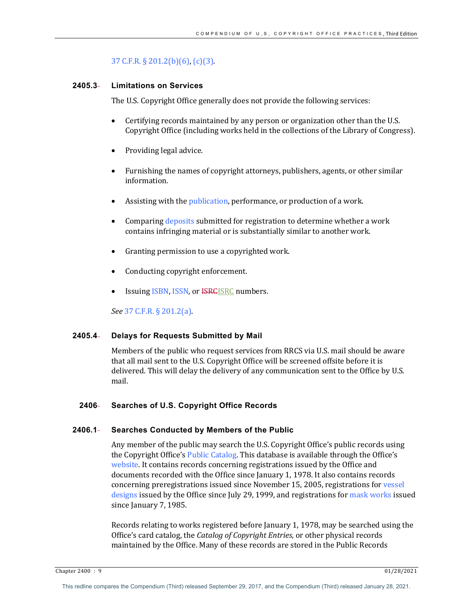# 37 C.F.R.  $\S$  201.2(b)(6), (c)(3).

# **2405.3 Limitations on Services**

The U.S. Copyright Office generally does not provide the following services:

- Certifying records maintained by any person or organization other than the U.S. Copyright Office (including works held in the collections of the Library of Congress).
- Providing legal advice.
- Furnishing the names of copyright attorneys, publishers, agents, or other similar information.
- Assisting with the *publication*, performance, or production of a work.
- Comparing deposits submitted for registration to determine whether a work contains infringing material or is substantially similar to another work.
- Granting permission to use a copyrighted work.
- Conducting copyright enforcement.
- Issuing *ISBN*, *ISSN*, or *<del>ISRC</del>ISRC* numbers.

*See* 37 C.F.R. § 201.2(a). 

# **2405.4 Delays for Requests Submitted by Mail**

Members of the public who request services from RRCS via U.S. mail should be aware that all mail sent to the U.S. Copyright Office will be screened offsite before it is delivered. This will delay the delivery of any communication sent to the Office by U.S. mail. 

# **2406 Searches of U.S. Copyright Office Records**

# **2406.1 Searches Conducted by Members of the Public**

Any member of the public may search the U.S. Copyright Office's public records using the Copyright Office's Public Catalog. This database is available through the Office's website. It contains records concerning registrations issued by the Office and documents recorded with the Office since January 1, 1978. It also contains records concerning preregistrations issued since November 15, 2005, registrations for vessel designs issued by the Office since July 29, 1999, and registrations for mask works issued since January 7, 1985.

Records relating to works registered before January 1, 1978, may be searched using the Office's card catalog, the *Catalog of Copyright Entries*, or other physical records maintained by the Office. Many of these records are stored in the Public Records

Chapter 2400 : 9 01/28/2021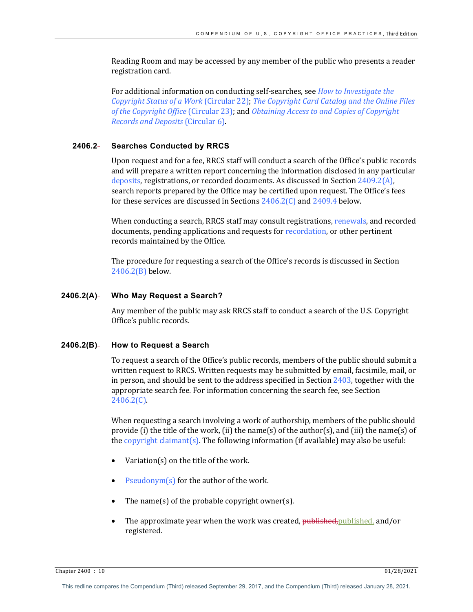Reading Room and may be accessed by any member of the public who presents a reader registration card.

For additional information on conducting self-searches, see *How to Investigate the Copyright Status of a Work* (Circular 22); *The Copyright Card Catalog and the Online Files* of the Copyright Office (Circular 23); and *Obtaining Access to and Copies of Copyright Records and Deposits* (Circular 6).

# **2406.2 Searches Conducted by RRCS**

Upon request and for a fee, RRCS staff will conduct a search of the Office's public records and will prepare a written report concerning the information disclosed in any particular deposits, registrations, or recorded documents. As discussed in Section  $2409.2(A)$ , search reports prepared by the Office may be certified upon request. The Office's fees for these services are discussed in Sections  $2406.2(C)$  and  $2409.4$  below.

When conducting a search, RRCS staff may consult registrations, renewals, and recorded documents, pending applications and requests for recordation, or other pertinent records maintained by the Office.

The procedure for requesting a search of the Office's records is discussed in Section 2406.2(B) below.

#### **2406.2(A) Who May Request a Search?**

Any member of the public may ask RRCS staff to conduct a search of the U.S. Copyright Office's public records.

#### **2406.2(B) How to Request a Search**

To request a search of the Office's public records, members of the public should submit a written request to RRCS. Written requests may be submitted by email, facsimile, mail, or in person, and should be sent to the address specified in Section  $2403$ , together with the appropriate search fee. For information concerning the search fee, see Section 2406.2(C).

When requesting a search involving a work of authorship, members of the public should provide (i) the title of the work, (ii) the name(s) of the author(s), and (iii) the name(s) of the copyright claimant(s). The following information (if available) may also be useful:

- Variation(s) on the title of the work.
- Pseudonym(s) for the author of the work.
- The name(s) of the probable copyright owner(s).
- The approximate year when the work was created, published, published, and/or registered.

Chapter 2400 : 10 01/28/2021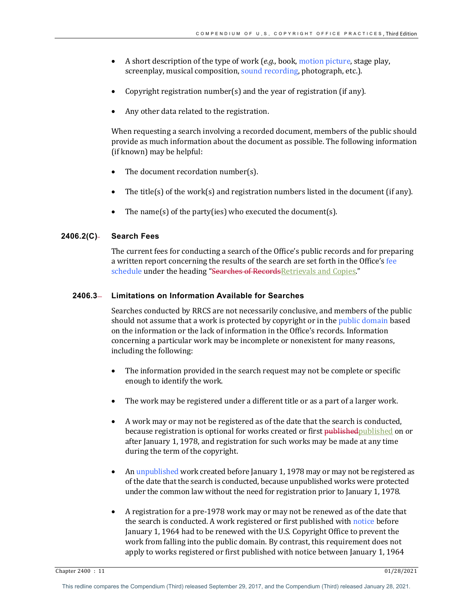- A short description of the type of work (*e.g.*, book, motion picture, stage play, screenplay, musical composition, sound recording, photograph, etc.).
- Copyright registration number(s) and the year of registration (if any).
- Any other data related to the registration.

When requesting a search involving a recorded document, members of the public should provide as much information about the document as possible. The following information (if known) may be helpful:

- The document recordation number(s).
- The title(s) of the work(s) and registration numbers listed in the document (if any).
- The name(s) of the party(ies) who executed the document(s).

# **2406.2(C) Search Fees**

The current fees for conducting a search of the Office's public records and for preparing a written report concerning the results of the search are set forth in the Office's fee schedule under the heading "Searches of Records Retrievals and Copies."

# **2406.3 Limitations on Information Available for Searches**

Searches conducted by RRCS are not necessarily conclusive, and members of the public should not assume that a work is protected by copyright or in the public domain based on the information or the lack of information in the Office's records. Information concerning a particular work may be incomplete or nonexistent for many reasons, including the following:

- The information provided in the search request may not be complete or specific enough to identify the work.
- The work may be registered under a different title or as a part of a larger work.
- A work may or may not be registered as of the date that the search is conducted, because registration is optional for works created or first published published on or after January 1, 1978, and registration for such works may be made at any time during the term of the copyright.
- An unpublished work created before January 1, 1978 may or may not be registered as of the date that the search is conducted, because unpublished works were protected under the common law without the need for registration prior to January 1, 1978.
- A registration for a pre-1978 work may or may not be renewed as of the date that the search is conducted. A work registered or first published with notice before January 1, 1964 had to be renewed with the U.S. Copyright Office to prevent the work from falling into the public domain. By contrast, this requirement does not apply to works registered or first published with notice between January 1, 1964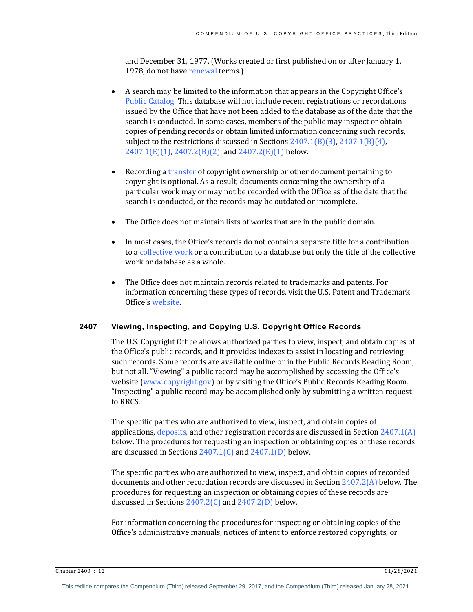and December 31, 1977. (Works created or first published on or after January 1, 1978, do not have renewal terms.)

- A search may be limited to the information that appears in the Copyright Office's Public Catalog. This database will not include recent registrations or recordations issued by the Office that have not been added to the database as of the date that the search is conducted. In some cases, members of the public may inspect or obtain copies of pending records or obtain limited information concerning such records, subject to the restrictions discussed in Sections  $2407.1(B)(3)$ ,  $2407.1(B)(4)$ ,  $2407.1(E)(1)$ ,  $2407.2(B)(2)$ , and  $2407.2(E)(1)$  below.
- Recording a transfer of copyright ownership or other document pertaining to copyright is optional. As a result, documents concerning the ownership of a particular work may or may not be recorded with the Office as of the date that the search is conducted, or the records may be outdated or incomplete.
- The Office does not maintain lists of works that are in the public domain.
- In most cases, the Office's records do not contain a separate title for a contribution to a collective work or a contribution to a database but only the title of the collective work or database as a whole.
- The Office does not maintain records related to trademarks and patents. For information concerning these types of records, visit the U.S. Patent and Trademark Office's website.

#### **2407 Viewing, Inspecting, and Copying U.S. Copyright Office Records**

The U.S. Copyright Office allows authorized parties to view, inspect, and obtain copies of the Office's public records, and it provides indexes to assist in locating and retrieving such records. Some records are available online or in the Public Records Reading Room, but not all. "Viewing" a public record may be accomplished by accessing the Office's website (www.copyright.gov) or by visiting the Office's Public Records Reading Room. "Inspecting" a public record may be accomplished only by submitting a written request to RRCS.

The specific parties who are authorized to view, inspect, and obtain copies of applications, deposits, and other registration records are discussed in Section  $2407.1(A)$ below. The procedures for requesting an inspection or obtaining copies of these records are discussed in Sections  $2407.1(C)$  and  $2407.1(D)$  below.

The specific parties who are authorized to view, inspect, and obtain copies of recorded documents and other recordation records are discussed in Section  $2407.2(A)$  below. The procedures for requesting an inspection or obtaining copies of these records are discussed in Sections  $2407.2(C)$  and  $2407.2(D)$  below.

For information concerning the procedures for inspecting or obtaining copies of the Office's administrative manuals, notices of intent to enforce restored copyrights, or

Chapter 2400 : 12 01/28/2021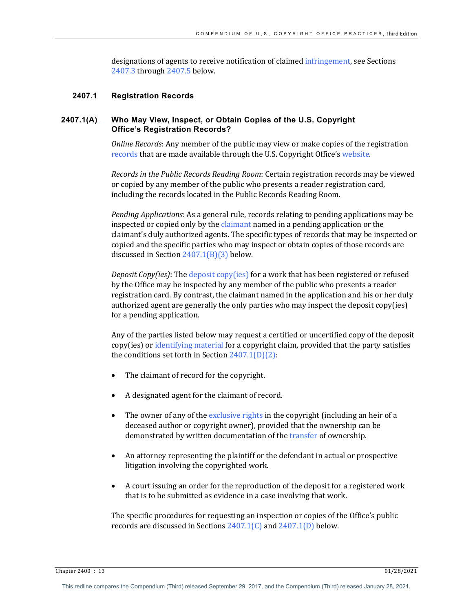designations of agents to receive notification of claimed infringement, see Sections 2407.3 through 2407.5 below.

#### **2407.1 Registration Records**

# **2407.1(A) Who May View, Inspect, or Obtain Copies of the U.S. Copyright Office's Registration Records?**

*Online Records*: Any member of the public may view or make copies of the registration records that are made available through the U.S. Copyright Office's website.

*Records in the Public Records Reading Room:* Certain registration records may be viewed or copied by any member of the public who presents a reader registration card, including the records located in the Public Records Reading Room.

*Pending Applications*: As a general rule, records relating to pending applications may be inspected or copied only by the claimant named in a pending application or the claimant's duly authorized agents. The specific types of records that may be inspected or copied and the specific parties who may inspect or obtain copies of those records are discussed in Section  $2407.1(B)(3)$  below.

*Deposit Copy(ies)*: The *deposit copy(ies)* for a work that has been registered or refused by the Office may be inspected by any member of the public who presents a reader registration card. By contrast, the claimant named in the application and his or her duly authorized agent are generally the only parties who may inspect the deposit copy(ies) for a pending application.

Any of the parties listed below may request a certified or uncertified copy of the deposit copy(ies) or identifying material for a copyright claim, provided that the party satisfies the conditions set forth in Section  $2407.1(D)(2)$ :

- The claimant of record for the copyright.
- A designated agent for the claimant of record.
- The owner of any of the exclusive rights in the copyright (including an heir of a deceased author or copyright owner), provided that the ownership can be demonstrated by written documentation of the transfer of ownership.
- An attorney representing the plaintiff or the defendant in actual or prospective litigation involving the copyrighted work.
- A court issuing an order for the reproduction of the deposit for a registered work that is to be submitted as evidence in a case involving that work.

The specific procedures for requesting an inspection or copies of the Office's public records are discussed in Sections  $2407.1\textdegree$  and  $2407.1\textdegree$  below.

Chapter 2400 : 13 01/28/2021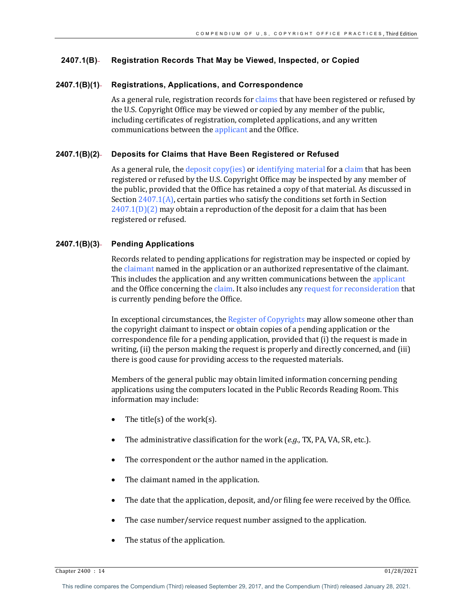# **2407.1(B) Registration Records That May be Viewed, Inspected, or Copied**

#### **2407.1(B)(1) Registrations, Applications, and Correspondence**

As a general rule, registration records for claims that have been registered or refused by the U.S. Copyright Office may be viewed or copied by any member of the public, including certificates of registration, completed applications, and any written communications between the applicant and the Office.

#### **2407.1(B)(2) Deposits for Claims that Have Been Registered or Refused**

As a general rule, the deposit copy(ies) or identifying material for a claim that has been registered or refused by the U.S. Copyright Office may be inspected by any member of the public, provided that the Office has retained a copy of that material. As discussed in Section  $2407.1(A)$ , certain parties who satisfy the conditions set forth in Section  $2407.1(D)(2)$  may obtain a reproduction of the deposit for a claim that has been registered or refused.

# **2407.1(B)(3) Pending Applications**

Records related to pending applications for registration may be inspected or copied by the claimant named in the application or an authorized representative of the claimant. This includes the application and any written communications between the applicant and the Office concerning the claim. It also includes any request for reconsideration that is currently pending before the Office.

In exceptional circumstances, the Register of Copyrights may allow someone other than the copyright claimant to inspect or obtain copies of a pending application or the correspondence file for a pending application, provided that (i) the request is made in writing, (ii) the person making the request is properly and directly concerned, and (iii) there is good cause for providing access to the requested materials.

Members of the general public may obtain limited information concerning pending applications using the computers located in the Public Records Reading Room. This information may include:

- The title(s) of the work(s).
- The administrative classification for the work (*e.g.*, TX, PA, VA, SR, etc.).
- The correspondent or the author named in the application.
- The claimant named in the application.
- The date that the application, deposit, and/or filing fee were received by the Office.
- The case number/service request number assigned to the application.
- The status of the application.

Chapter 2400 : 14 01/28/2021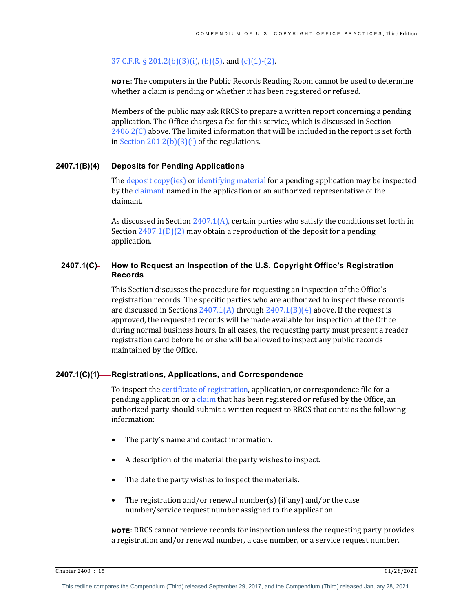# 37 C.F.R. § 201.2(b)(3)(i), (b)(5), and (c)(1)-(2).

**NOTE:** The computers in the Public Records Reading Room cannot be used to determine whether a claim is pending or whether it has been registered or refused.

Members of the public may ask RRCS to prepare a written report concerning a pending application. The Office charges a fee for this service, which is discussed in Section  $2406.2(C)$  above. The limited information that will be included in the report is set forth in Section  $201.2(b)(3)(i)$  of the regulations.

# **2407.1(B)(4) Deposits for Pending Applications**

The  $\frac{deposit\ copy(ies)}{def}$  or identifying material for a pending application may be inspected by the claimant named in the application or an authorized representative of the claimant. 

As discussed in Section  $2407.1(A)$ , certain parties who satisfy the conditions set forth in Section  $2407.1(D)(2)$  may obtain a reproduction of the deposit for a pending application.

# **2407.1(C) How to Request an Inspection of the U.S. Copyright Office's Registration Records**

This Section discusses the procedure for requesting an inspection of the Office's registration records. The specific parties who are authorized to inspect these records are discussed in Sections  $2407.1(A)$  through  $2407.1(B)(4)$  above. If the request is approved, the requested records will be made available for inspection at the Office during normal business hours. In all cases, the requesting party must present a reader registration card before he or she will be allowed to inspect any public records maintained by the Office.

#### **2407.1(C)(1) Registrations, Applications, and Correspondence**

To inspect the certificate of registration, application, or correspondence file for a pending application or a claim that has been registered or refused by the Office, an authorized party should submit a written request to RRCS that contains the following information:

- The party's name and contact information.
- A description of the material the party wishes to inspect.
- The date the party wishes to inspect the materials.
- The registration and/or renewal number(s) (if any) and/or the case number/service request number assigned to the application.

**NOTE:** RRCS cannot retrieve records for inspection unless the requesting party provides a registration and/or renewal number, a case number, or a service request number.

Chapter 2400 : 15 01/28/2021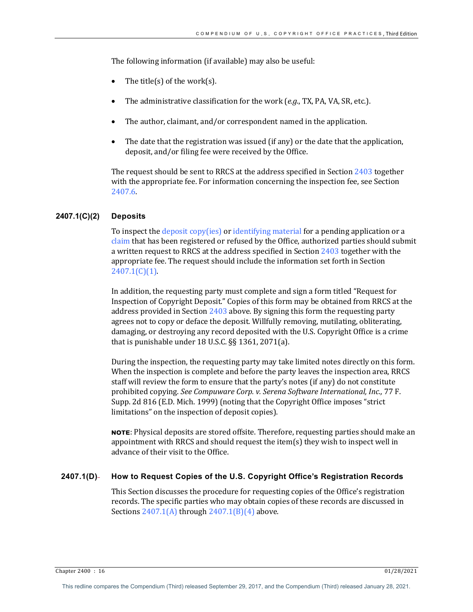The following information (if available) may also be useful:

- The title(s) of the work(s).
- The administrative classification for the work (*e.g.*, TX, PA, VA, SR, etc.).
- The author, claimant, and/or correspondent named in the application.
- The date that the registration was issued (if any) or the date that the application, deposit, and/or filing fee were received by the Office.

The request should be sent to RRCS at the address specified in Section  $2403$  together with the appropriate fee. For information concerning the inspection fee, see Section 2407.6.

# **2407.1(C)(2) Deposits**

To inspect the deposit copy(ies) or identifying material for a pending application or a claim that has been registered or refused by the Office, authorized parties should submit a written request to RRCS at the address specified in Section  $2403$  together with the appropriate fee. The request should include the information set forth in Section  $2407.1(C)(1)$ .

In addition, the requesting party must complete and sign a form titled "Request for Inspection of Copyright Deposit." Copies of this form may be obtained from RRCS at the address provided in Section  $2403$  above. By signing this form the requesting party agrees not to copy or deface the deposit. Willfully removing, mutilating, obliterating, damaging, or destroying any record deposited with the U.S. Copyright Office is a crime that is punishable under  $18$  U.S.C.  $\S$ § 1361, 2071(a).

During the inspection, the requesting party may take limited notes directly on this form. When the inspection is complete and before the party leaves the inspection area, RRCS staff will review the form to ensure that the party's notes (if any) do not constitute prohibited copying. *See Compuware Corp. v. Serena Software International, Inc.,* 77 F. Supp. 2d 816 (E.D. Mich. 1999) (noting that the Copyright Office imposes "strict limitations" on the inspection of deposit copies).

**NOTE:** Physical deposits are stored offsite. Therefore, requesting parties should make an appointment with RRCS and should request the item(s) they wish to inspect well in advance of their visit to the Office.

# **2407.1(D) How to Request Copies of the U.S. Copyright Office's Registration Records**

This Section discusses the procedure for requesting copies of the Office's registration records. The specific parties who may obtain copies of these records are discussed in Sections  $2407.1(A)$  through  $2407.1(B)(4)$  above.

Chapter 2400 : 16 01/28/2021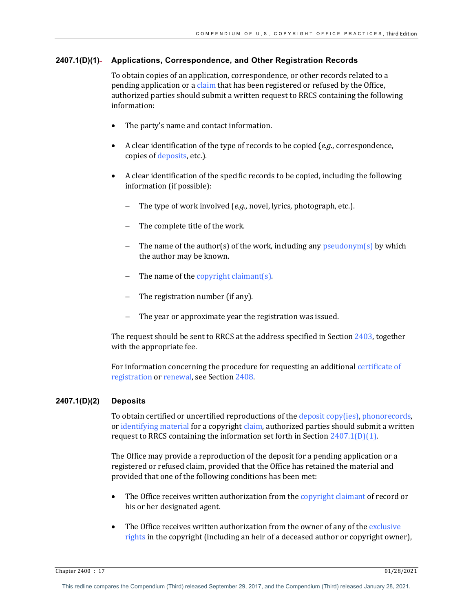## **2407.1(D)(1) Applications, Correspondence, and Other Registration Records**

To obtain copies of an application, correspondence, or other records related to a pending application or a claim that has been registered or refused by the Office, authorized parties should submit a written request to RRCS containing the following information:

- The party's name and contact information.
- A clear identification of the type of records to be copied (*e.g.*, correspondence, copies of deposits, etc.).
- A clear identification of the specific records to be copied, including the following information (if possible):
	- The type of work involved (*e.g.*, novel, lyrics, photograph, etc.).
	- The complete title of the work.
	- The name of the author(s) of the work, including any  $p$ seudonym(s) by which the author may be known.
	- The name of the copyright claimant(s).
	- The registration number (if any).
	- The year or approximate year the registration was issued.

The request should be sent to RRCS at the address specified in Section  $2403$ , together with the appropriate fee.

For information concerning the procedure for requesting an additional certificate of registration or renewal, see Section 2408.

#### **2407.1(D)(2) Deposits**

To obtain certified or uncertified reproductions of the deposit copy(ies), phonorecords, or identifying material for a copyright claim, authorized parties should submit a written request to RRCS containing the information set forth in Section  $2407.1(D)(1)$ .

The Office may provide a reproduction of the deposit for a pending application or a registered or refused claim, provided that the Office has retained the material and provided that one of the following conditions has been met:

- The Office receives written authorization from the copyright claimant of record or his or her designated agent.
- The Office receives written authorization from the owner of any of the exclusive rights in the copyright (including an heir of a deceased author or copyright owner),

Chapter 2400 : 17 01/28/2021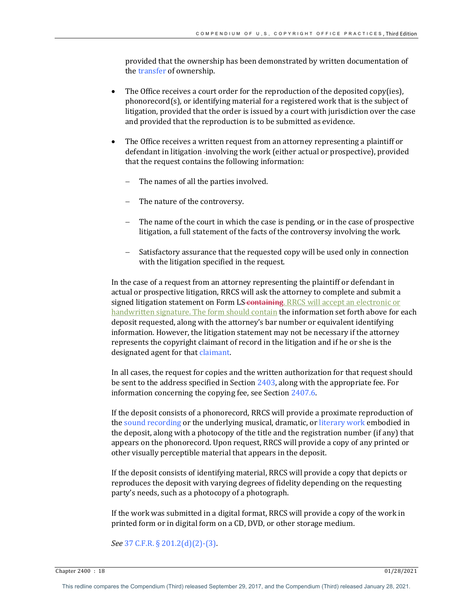provided that the ownership has been demonstrated by written documentation of the transfer of ownership.

- The Office receives a court order for the reproduction of the deposited copy(ies),  $phonorecord(s)$ , or identifying material for a registered work that is the subject of litigation, provided that the order is issued by a court with jurisdiction over the case and provided that the reproduction is to be submitted as evidence.
- The Office receives a written request from an attorney representing a plaintiff or defendant in litigation -involving the work (either actual or prospective), provided that the request contains the following information:
	- The names of all the parties involved.
	- The nature of the controversy.
	- The name of the court in which the case is pending, or in the case of prospective litigation, a full statement of the facts of the controversy involving the work.
	- Satisfactory assurance that the requested copy will be used only in connection with the litigation specified in the request.

In the case of a request from an attorney representing the plaintiff or defendant in actual or prospective litigation, RRCS will ask the attorney to complete and submit a signed litigation statement on Form LS containing. RRCS will accept an electronic or handwritten signature. The form should contain the information set forth above for each deposit requested, along with the attorney's bar number or equivalent identifying information. However, the litigation statement may not be necessary if the attorney represents the copyright claimant of record in the litigation and if he or she is the designated agent for that claimant.

In all cases, the request for copies and the written authorization for that request should be sent to the address specified in Section  $2403$ , along with the appropriate fee. For information concerning the copying fee, see Section  $2407.6$ .

If the deposit consists of a phonorecord, RRCS will provide a proximate reproduction of the sound recording or the underlying musical, dramatic, or literary work embodied in the deposit, along with a photocopy of the title and the registration number (if any) that appears on the phonorecord. Upon request, RRCS will provide a copy of any printed or other visually perceptible material that appears in the deposit.

If the deposit consists of identifying material, RRCS will provide a copy that depicts or reproduces the deposit with varying degrees of fidelity depending on the requesting party's needs, such as a photocopy of a photograph.

If the work was submitted in a digital format, RRCS will provide a copy of the work in printed form or in digital form on a CD, DVD, or other storage medium.

*See* 37 C.F.R. § 201.2(d)(2)-(3).

Chapter 2400 : 18 01/28/2021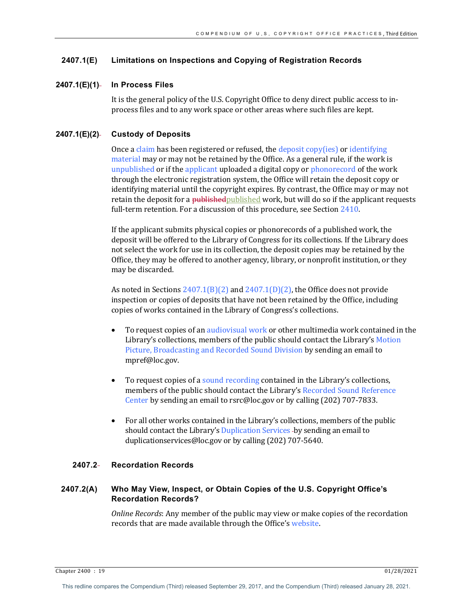## **2407.1(E) Limitations on Inspections and Copying of Registration Records**

#### **2407.1(E)(1) In Process Files**

It is the general policy of the U.S. Copyright Office to deny direct public access to inprocess files and to any work space or other areas where such files are kept.

#### **2407.1(E)(2) Custody of Deposits**

Once a claim has been registered or refused, the deposit copy(ies) or identifying material may or may not be retained by the Office. As a general rule, if the work is unpublished or if the applicant uploaded a digital copy or phonorecord of the work through the electronic registration system, the Office will retain the deposit copy or identifying material until the copyright expires. By contrast, the Office may or may not retain the deposit for a published published work, but will do so if the applicant requests full-term retention. For a discussion of this procedure, see Section 2410.

If the applicant submits physical copies or phonorecords of a published work, the deposit will be offered to the Library of Congress for its collections. If the Library does not select the work for use in its collection, the deposit copies may be retained by the Office, they may be offered to another agency, library, or nonprofit institution, or they may be discarded.

As noted in Sections  $2407.1(B)(2)$  and  $2407.1(D)(2)$ , the Office does not provide inspection or copies of deposits that have not been retained by the Office, including copies of works contained in the Library of Congress's collections.

- To request copies of an audiovisual work or other multimedia work contained in the Library's collections, members of the public should contact the Library's Motion Picture, Broadcasting and Recorded Sound Division by sending an email to mpref@loc.gov.
- To request copies of a sound recording contained in the Library's collections, members of the public should contact the Library's Recorded Sound Reference Center by sending an email to rsrc@loc.gov or by calling (202) 707-7833.
- For all other works contained in the Library's collections, members of the public should contact the Library's Duplication Services -by sending an email to duplicationservices@loc.gov or by calling (202) 707-5640.

# **2407.2 Recordation Records**

# **2407.2(A) Who May View, Inspect, or Obtain Copies of the U.S. Copyright Office's Recordation Records?**

*Online Records:* Any member of the public may view or make copies of the recordation records that are made available through the Office's website.

Chapter 2400 : 19 01/28/2021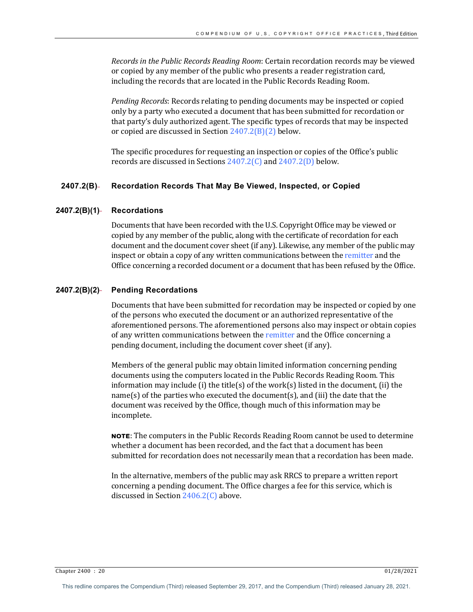*Records in the Public Records Reading Room:* Certain recordation records may be viewed or copied by any member of the public who presents a reader registration card, including the records that are located in the Public Records Reading Room.

*Pending Records*: Records relating to pending documents may be inspected or copied only by a party who executed a document that has been submitted for recordation or that party's duly authorized agent. The specific types of records that may be inspected or copied are discussed in Section  $2407.2(B)(2)$  below.

The specific procedures for requesting an inspection or copies of the Office's public records are discussed in Sections  $2407.2(C)$  and  $2407.2(D)$  below.

## **2407.2(B) Recordation Records That May Be Viewed, Inspected, or Copied**

#### **2407.2(B)(1) Recordations**

Documents that have been recorded with the U.S. Copyright Office may be viewed or copied by any member of the public, along with the certificate of recordation for each document and the document cover sheet (if any). Likewise, any member of the public may inspect or obtain a copy of any written communications between the remitter and the Office concerning a recorded document or a document that has been refused by the Office.

#### **2407.2(B)(2) Pending Recordations**

Documents that have been submitted for recordation may be inspected or copied by one of the persons who executed the document or an authorized representative of the aforementioned persons. The aforementioned persons also may inspect or obtain copies of any written communications between the remitter and the Office concerning a pending document, including the document cover sheet (if any).

Members of the general public may obtain limited information concerning pending documents using the computers located in the Public Records Reading Room. This information may include (i) the title(s) of the work(s) listed in the document, (ii) the name(s) of the parties who executed the document(s), and (iii) the date that the document was received by the Office, though much of this information may be incomplete. 

**NOTE:** The computers in the Public Records Reading Room cannot be used to determine whether a document has been recorded, and the fact that a document has been submitted for recordation does not necessarily mean that a recordation has been made.

In the alternative, members of the public may ask RRCS to prepare a written report concerning a pending document. The Office charges a fee for this service, which is discussed in Section  $2406.2(C)$  above.

Chapter 2400 : 20 01/28/2021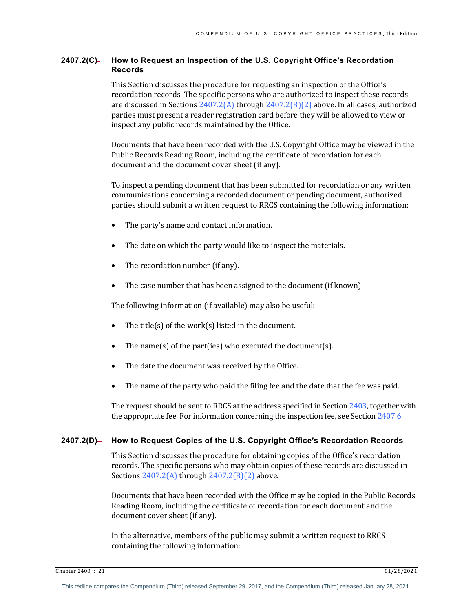# **2407.2(C) How to Request an Inspection of the U.S. Copyright Office's Recordation Records**

This Section discusses the procedure for requesting an inspection of the Office's recordation records. The specific persons who are authorized to inspect these records are discussed in Sections  $2407.2(A)$  through  $2407.2(B)(2)$  above. In all cases, authorized parties must present a reader registration card before they will be allowed to view or inspect any public records maintained by the Office.

Documents that have been recorded with the U.S. Copyright Office may be viewed in the Public Records Reading Room, including the certificate of recordation for each document and the document cover sheet (if any).

To inspect a pending document that has been submitted for recordation or any written communications concerning a recorded document or pending document, authorized parties should submit a written request to RRCS containing the following information:

- The party's name and contact information.
- The date on which the party would like to inspect the materials.
- The recordation number (if any).
- The case number that has been assigned to the document (if known).

The following information (if available) may also be useful:

- The title(s) of the work(s) listed in the document.
- The name(s) of the part(ies) who executed the document(s).
- The date the document was received by the Office.
- The name of the party who paid the filing fee and the date that the fee was paid.

The request should be sent to RRCS at the address specified in Section  $2403$ , together with the appropriate fee. For information concerning the inspection fee, see Section  $2407.6$ .

# 2407.2(D)— How to Request Copies of the U.S. Copyright Office's Recordation Records

This Section discusses the procedure for obtaining copies of the Office's recordation records. The specific persons who may obtain copies of these records are discussed in Sections  $2407.2(A)$  through  $2407.2(B)(2)$  above.

Documents that have been recorded with the Office may be copied in the Public Records Reading Room, including the certificate of recordation for each document and the document cover sheet (if any).

In the alternative, members of the public may submit a written request to RRCS containing the following information: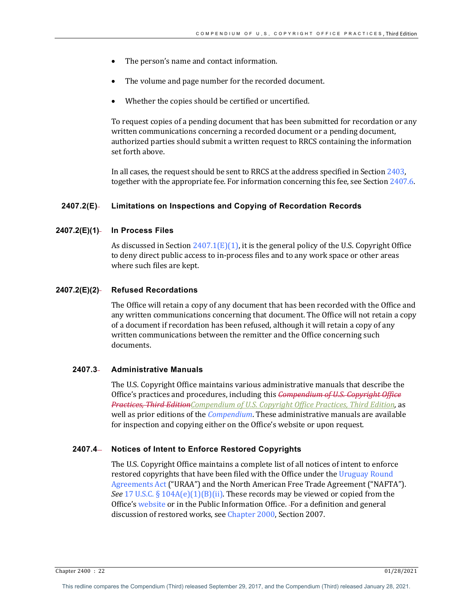- The person's name and contact information.
- The volume and page number for the recorded document.
- Whether the copies should be certified or uncertified.

To request copies of a pending document that has been submitted for recordation or any written communications concerning a recorded document or a pending document, authorized parties should submit a written request to RRCS containing the information set forth above.

In all cases, the request should be sent to RRCS at the address specified in Section 2403, together with the appropriate fee. For information concerning this fee, see Section 2407.6.

#### **2407.2(E) Limitations on Inspections and Copying of Recordation Records**

#### **2407.2(E)(1) In Process Files**

As discussed in Section  $2407.1(E)(1)$ , it is the general policy of the U.S. Copyright Office to deny direct public access to in-process files and to any work space or other areas where such files are kept.

#### **2407.2(E)(2) Refused Recordations**

The Office will retain a copy of any document that has been recorded with the Office and any written communications concerning that document. The Office will not retain a copy of a document if recordation has been refused, although it will retain a copy of any written communications between the remitter and the Office concerning such documents.

# **2407.3 Administrative Manuals**

The U.S. Copyright Office maintains various administrative manuals that describe the Office's practices and procedures, including this *Compendium of U.S. Copyright Office* **Practices, Third Edition**Compendium of U.S. Copyright Office Practices, Third Edition, as well as prior editions of the *Compendium*. These administrative manuals are available for inspection and copying either on the Office's website or upon request.

#### **2407.4 Notices of Intent to Enforce Restored Copyrights**

The U.S. Copyright Office maintains a complete list of all notices of intent to enforce restored copyrights that have been filed with the Office under the Uruguay Round Agreements Act ("URAA") and the North American Free Trade Agreement ("NAFTA"). *See* 17 U.S.C. § 104A(e)(1)(B)(ii). These records may be viewed or copied from the Office's website or in the Public Information Office. For a definition and general discussion of restored works, see Chapter 2000, Section 2007.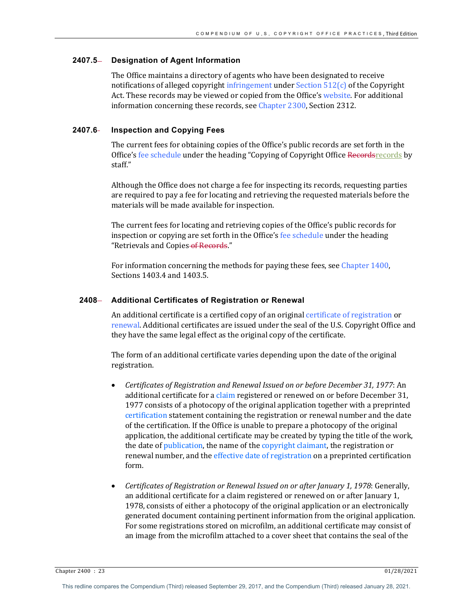#### **2407.5 Designation of Agent Information**

The Office maintains a directory of agents who have been designated to receive notifications of alleged copyright infringement under Section  $512(c)$  of the Copyright Act. These records may be viewed or copied from the Office's website. For additional information concerning these records, see Chapter 2300, Section 2312.

## **2407.6 Inspection and Copying Fees**

The current fees for obtaining copies of the Office's public records are set forth in the Office's fee schedule under the heading "Copying of Copyright Office Recordsrecords by staff." 

Although the Office does not charge a fee for inspecting its records, requesting parties are required to pay a fee for locating and retrieving the requested materials before the materials will be made available for inspection.

The current fees for locating and retrieving copies of the Office's public records for inspection or copying are set forth in the Office's  $f$ ee schedule under the heading "Retrievals and Copies-of Records."

For information concerning the methods for paying these fees, see Chapter 1400, Sections 1403.4 and 1403.5.

# **2408 Additional Certificates of Registration or Renewal**

An additional certificate is a certified copy of an original certificate of registration or renewal. Additional certificates are issued under the seal of the U.S. Copyright Office and they have the same legal effect as the original copy of the certificate.

The form of an additional certificate varies depending upon the date of the original registration.

- *Certificates of Registration and Renewal Issued on or before December 31, 1977*: An additional certificate for a claim registered or renewed on or before December 31, 1977 consists of a photocopy of the original application together with a preprinted certification statement containing the registration or renewal number and the date of the certification. If the Office is unable to prepare a photocopy of the original application, the additional certificate may be created by typing the title of the work, the date of publication, the name of the copyright claimant, the registration or renewal number, and the effective date of registration on a preprinted certification form.
- *Certificates of Registration or Renewal Issued on or after January 1, 1978: Generally,* an additional certificate for a claim registered or renewed on or after January 1, 1978, consists of either a photocopy of the original application or an electronically generated document containing pertinent information from the original application. For some registrations stored on microfilm, an additional certificate may consist of an image from the microfilm attached to a cover sheet that contains the seal of the

Chapter 2400 : 23 01/28/2021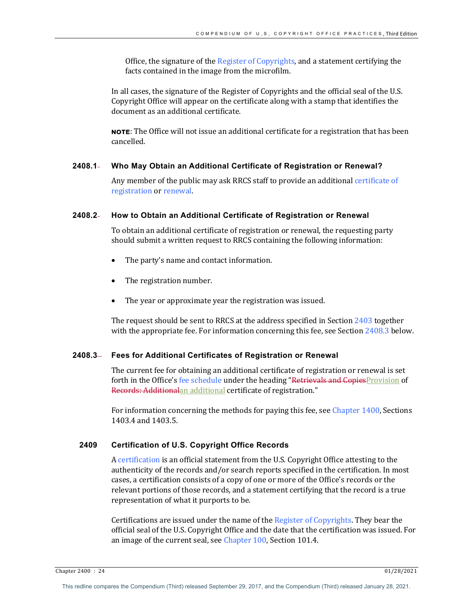Office, the signature of the Register of Copyrights, and a statement certifying the facts contained in the image from the microfilm.

In all cases, the signature of the Register of Copyrights and the official seal of the U.S. Copyright Office will appear on the certificate along with a stamp that identifies the document as an additional certificate.

NOTE: The Office will not issue an additional certificate for a registration that has been cancelled. 

# **2408.1 Who May Obtain an Additional Certificate of Registration or Renewal?**

Any member of the public may ask RRCS staff to provide an additional certificate of registration or renewal.

# **2408.2 How to Obtain an Additional Certificate of Registration or Renewal**

To obtain an additional certificate of registration or renewal, the requesting party should submit a written request to RRCS containing the following information:

- The party's name and contact information.
- The registration number.
- The year or approximate year the registration was issued.

The request should be sent to RRCS at the address specified in Section  $2403$  together with the appropriate fee. For information concerning this fee, see Section  $2408.3$  below.

#### **2408.3 Fees for Additional Certificates of Registration or Renewal**

The current fee for obtaining an additional certificate of registration or renewal is set forth in the Office's fee schedule under the heading "Retrievals and CopiesProvision of Records: Additionalan additional certificate of registration."

For information concerning the methods for paying this fee, see Chapter 1400, Sections 1403.4 and 1403.5. 

#### **2409 Certification of U.S. Copyright Office Records**

A certification is an official statement from the U.S. Copyright Office attesting to the authenticity of the records and/or search reports specified in the certification. In most cases, a certification consists of a copy of one or more of the Office's records or the relevant portions of those records, and a statement certifying that the record is a true representation of what it purports to be.

Certifications are issued under the name of the Register of Copyrights. They bear the official seal of the U.S. Copyright Office and the date that the certification was issued. For an image of the current seal, see Chapter 100, Section 101.4.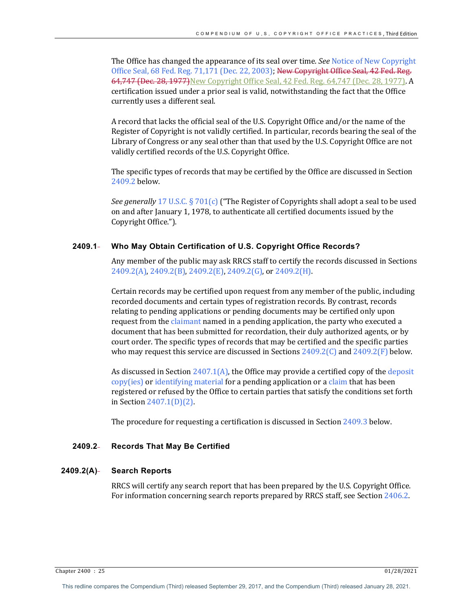The Office has changed the appearance of its seal over time. *See* Notice of New Copyright Office Seal, 68 Fed. Reg. 71,171 (Dec. 22, 2003); New Copyright Office Seal, 42 Fed. Reg. 64,747 (Dec. 28, 1977) New Copyright Office Seal, 42 Fed. Reg. 64,747 (Dec. 28, 1977). A certification issued under a prior seal is valid, notwithstanding the fact that the Office currently uses a different seal.

A record that lacks the official seal of the U.S. Copyright Office and/or the name of the Register of Copyright is not validly certified. In particular, records bearing the seal of the Library of Congress or any seal other than that used by the U.S. Copyright Office are not validly certified records of the U.S. Copyright Office.

The specific types of records that may be certified by the Office are discussed in Section 2409.2 below.

*See generally* 17 U.S.C. § 701(c) ("The Register of Copyrights shall adopt a seal to be used on and after January 1, 1978, to authenticate all certified documents issued by the Copyright Office.").

# **2409.1 Who May Obtain Certification of U.S. Copyright Office Records?**

Any member of the public may ask RRCS staff to certify the records discussed in Sections 2409.2(A), 2409.2(B), 2409.2(E), 2409.2(G), or 2409.2(H).

Certain records may be certified upon request from any member of the public, including recorded documents and certain types of registration records. By contrast, records relating to pending applications or pending documents may be certified only upon request from the claimant named in a pending application, the party who executed a document that has been submitted for recordation, their duly authorized agents, or by court order. The specific types of records that may be certified and the specific parties who may request this service are discussed in Sections  $2409.2(C)$  and  $2409.2(F)$  below.

As discussed in Section  $2407.1(A)$ , the Office may provide a certified copy of the deposit copy(ies) or identifying material for a pending application or a claim that has been registered or refused by the Office to certain parties that satisfy the conditions set forth in Section  $2407.1(D)(2)$ .

The procedure for requesting a certification is discussed in Section  $2409.3$  below.

# **2409.2 Records That May Be Certified**

## **2409.2(A) Search Reports**

RRCS will certify any search report that has been prepared by the U.S. Copyright Office. For information concerning search reports prepared by RRCS staff, see Section 2406.2.

Chapter 2400 : 25 01/28/2021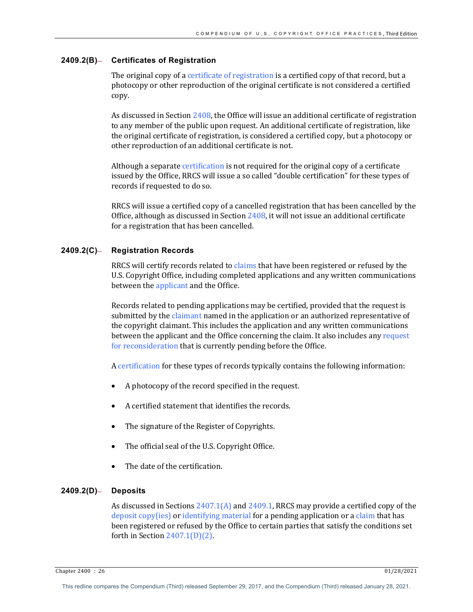# **2409.2(B) Certificates of Registration**

The original copy of a certificate of registration is a certified copy of that record, but a photocopy or other reproduction of the original certificate is not considered a certified copy. 

As discussed in Section  $2408$ , the Office will issue an additional certificate of registration to any member of the public upon request. An additional certificate of registration, like the original certificate of registration, is considered a certified copy, but a photocopy or other reproduction of an additional certificate is not.

Although a separate certification is not required for the original copy of a certificate issued by the Office, RRCS will issue a so called "double certification" for these types of records if requested to do so.

RRCS will issue a certified copy of a cancelled registration that has been cancelled by the Office, although as discussed in Section  $2408$ , it will not issue an additional certificate for a registration that has been cancelled.

# 2409.2(C)- Registration Records

RRCS will certify records related to claims that have been registered or refused by the U.S. Copyright Office, including completed applications and any written communications between the applicant and the Office.

Records related to pending applications may be certified, provided that the request is submitted by the claimant named in the application or an authorized representative of the copyright claimant. This includes the application and any written communications between the applicant and the Office concerning the claim. It also includes any request for reconsideration that is currently pending before the Office.

A certification for these types of records typically contains the following information:

- A photocopy of the record specified in the request.
- A certified statement that identifies the records.
- The signature of the Register of Copyrights.
- The official seal of the U.S. Copyright Office.
- The date of the certification.

#### **2409.2(D) Deposits**

As discussed in Sections  $2407.1(A)$  and  $2409.1$ , RRCS may provide a certified copy of the deposit copy(ies) or identifying material for a pending application or a claim that has been registered or refused by the Office to certain parties that satisfy the conditions set forth in Section  $2407.1(D)(2)$ .

Chapter 2400 : 26 01/28/2021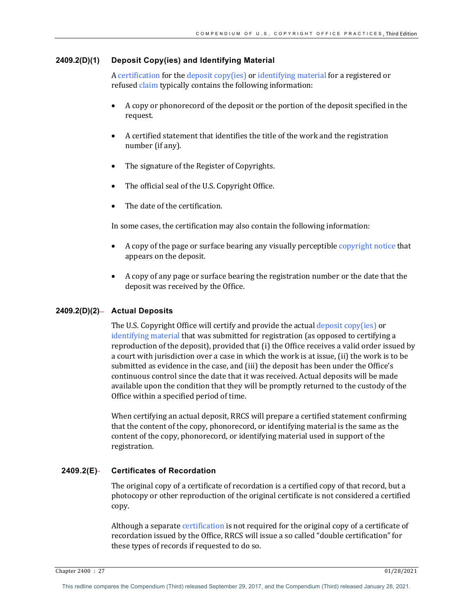## **2409.2(D)(1) Deposit Copy(ies) and Identifying Material**

A certification for the deposit copy(ies) or identifying material for a registered or refused claim typically contains the following information:

- A copy or phonorecord of the deposit or the portion of the deposit specified in the request.
- A certified statement that identifies the title of the work and the registration number (if any).
- The signature of the Register of Copyrights.
- The official seal of the U.S. Copyright Office.
- The date of the certification.

In some cases, the certification may also contain the following information:

- A copy of the page or surface bearing any visually perceptible copyright notice that appears on the deposit.
- A copy of any page or surface bearing the registration number or the date that the deposit was received by the Office.

# 2409.2(D)(2)- Actual Deposits

The U.S. Copyright Office will certify and provide the actual deposit copy(ies) or identifying material that was submitted for registration (as opposed to certifying a reproduction of the deposit), provided that (i) the Office receives a valid order issued by a court with jurisdiction over a case in which the work is at issue, (ii) the work is to be submitted as evidence in the case, and (iii) the deposit has been under the Office's continuous control since the date that it was received. Actual deposits will be made available upon the condition that they will be promptly returned to the custody of the Office within a specified period of time.

When certifying an actual deposit, RRCS will prepare a certified statement confirming that the content of the copy, phonorecord, or identifying material is the same as the content of the copy, phonorecord, or identifying material used in support of the registration. 

# **2409.2(E) Certificates of Recordation**

The original copy of a certificate of recordation is a certified copy of that record, but a photocopy or other reproduction of the original certificate is not considered a certified copy. 

Although a separate certification is not required for the original copy of a certificate of recordation issued by the Office, RRCS will issue a so called "double certification" for these types of records if requested to do so.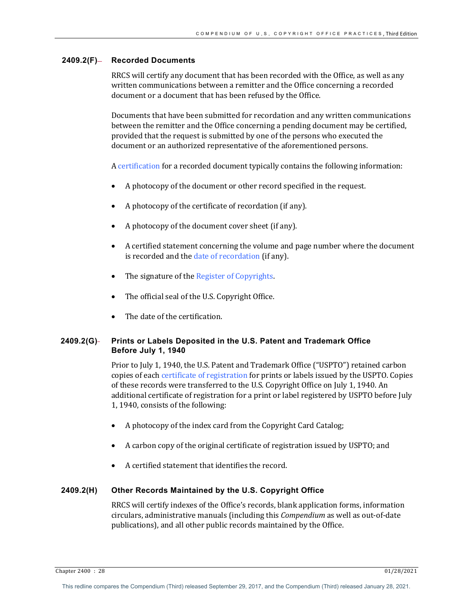# 2409.2(F)- Recorded Documents

RRCS will certify any document that has been recorded with the Office, as well as any written communications between a remitter and the Office concerning a recorded document or a document that has been refused by the Office.

Documents that have been submitted for recordation and any written communications between the remitter and the Office concerning a pending document may be certified, provided that the request is submitted by one of the persons who executed the document or an authorized representative of the aforementioned persons.

A certification for a recorded document typically contains the following information:

- A photocopy of the document or other record specified in the request.
- A photocopy of the certificate of recordation (if any).
- A photocopy of the document cover sheet (if any).
- A certified statement concerning the volume and page number where the document is recorded and the date of recordation (if any).
- $\bullet$  The signature of the Register of Copyrights.
- The official seal of the U.S. Copyright Office.
- The date of the certification.

# **2409.2(G) Prints or Labels Deposited in the U.S. Patent and Trademark Office Before July 1, 1940**

Prior to July 1, 1940, the U.S. Patent and Trademark Office ("USPTO") retained carbon copies of each certificate of registration for prints or labels issued by the USPTO. Copies of these records were transferred to the U.S. Copyright Office on July 1, 1940. An additional certificate of registration for a print or label registered by USPTO before July 1, 1940, consists of the following:

- A photocopy of the index card from the Copyright Card Catalog;
- A carbon copy of the original certificate of registration issued by USPTO; and
- A certified statement that identifies the record.

# **2409.2(H) Other Records Maintained by the U.S. Copyright Office**

RRCS will certify indexes of the Office's records, blank application forms, information circulars, administrative manuals (including this *Compendium* as well as out-of-date publications), and all other public records maintained by the Office.

Chapter 2400 : 28 01/28/2021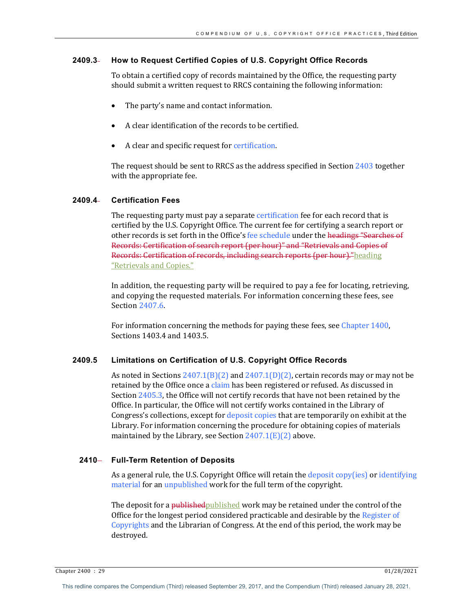# **2409.3 How to Request Certified Copies of U.S. Copyright Office Records**

To obtain a certified copy of records maintained by the Office, the requesting party should submit a written request to RRCS containing the following information:

- The party's name and contact information.
- A clear identification of the records to be certified.
- A clear and specific request for certification.

The request should be sent to RRCS as the address specified in Section  $2403$  together with the appropriate fee.

# **2409.4 Certification Fees**

The requesting party must pay a separate certification fee for each record that is certified by the U.S. Copyright Office. The current fee for certifying a search report or other records is set forth in the Office's fee schedule under the headings "Searches of Records: Certification of search report (per hour)" and "Retrievals and Copies of Records: Certification of records, including search reports (per hour)."heading "Retrievals and Copies."

In addition, the requesting party will be required to pay a fee for locating, retrieving, and copying the requested materials. For information concerning these fees, see Section 2407.6.

For information concerning the methods for paying these fees, see Chapter 1400, Sections 1403.4 and 1403.5.

## **2409.5 Limitations on Certification of U.S. Copyright Office Records**

As noted in Sections  $2407.1(B)(2)$  and  $2407.1(D)(2)$ , certain records may or may not be retained by the Office once a claim has been registered or refused. As discussed in Section 2405.3, the Office will not certify records that have not been retained by the Office. In particular, the Office will not certify works contained in the Library of Congress's collections, except for deposit copies that are temporarily on exhibit at the Library. For information concerning the procedure for obtaining copies of materials maintained by the Library, see Section  $2407.1(E)(2)$  above.

# 2410- Full-Term Retention of Deposits

As a general rule, the U.S. Copyright Office will retain the deposit copy(ies) or identifying material for an unpublished work for the full term of the copyright.

The deposit for a published published work may be retained under the control of the Office for the longest period considered practicable and desirable by the Register of Copyrights and the Librarian of Congress. At the end of this period, the work may be destroyed.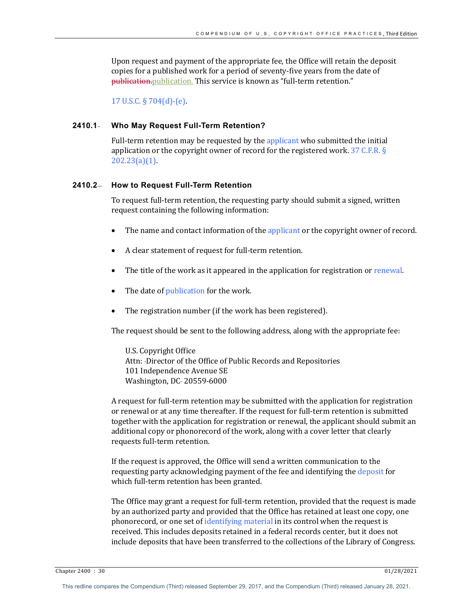Upon request and payment of the appropriate fee, the Office will retain the deposit copies for a published work for a period of seventy-five years from the date of publication. publication. This service is known as "full-term retention."

17 U.S.C.  $\S 704(d)$ -(e).

## **2410.1 Who May Request Full-Term Retention?**

Full-term retention may be requested by the applicant who submitted the initial application or the copyright owner of record for the registered work.  $37$  C.F.R. § 202.23(a)(1). 

#### **2410.2 How to Request Full-Term Retention**

To request full-term retention, the requesting party should submit a signed, written request containing the following information:

- The name and contact information of the applicant or the copyright owner of record.
- A clear statement of request for full-term retention.
- The title of the work as it appeared in the application for registration or renewal.
- The date of publication for the work.
- The registration number (if the work has been registered).

The request should be sent to the following address, along with the appropriate fee:

U.S. Copyright Office Attn: -Director of the Office of Public Records and Repositories 101 Independence Avenue SE Washington, DC-20559-6000

A request for full-term retention may be submitted with the application for registration or renewal or at any time thereafter. If the request for full-term retention is submitted together with the application for registration or renewal, the applicant should submit an additional copy or phonorecord of the work, along with a cover letter that clearly requests full-term retention.

If the request is approved, the Office will send a written communication to the requesting party acknowledging payment of the fee and identifying the deposit for which full-term retention has been granted.

The Office may grant a request for full-term retention, provided that the request is made by an authorized party and provided that the Office has retained at least one copy, one phonorecord, or one set of identifying material in its control when the request is received. This includes deposits retained in a federal records center, but it does not include deposits that have been transferred to the collections of the Library of Congress.

Chapter 2400 : 30 01/28/2021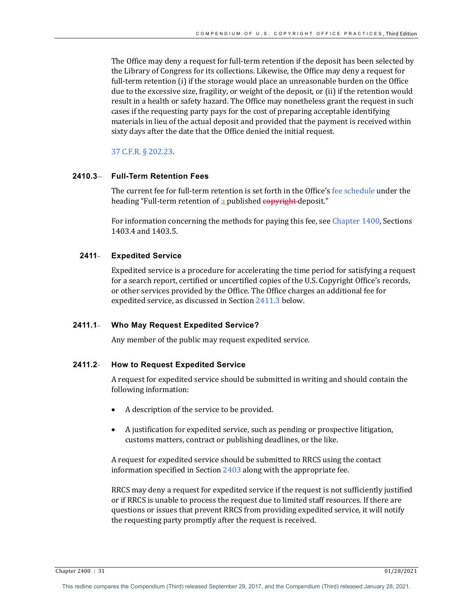The Office may deny a request for full-term retention if the deposit has been selected by the Library of Congress for its collections. Likewise, the Office may deny a request for full-term retention (i) if the storage would place an unreasonable burden on the Office due to the excessive size, fragility, or weight of the deposit, or (ii) if the retention would result in a health or safety hazard. The Office may nonetheless grant the request in such cases if the requesting party pays for the cost of preparing acceptable identifying materials in lieu of the actual deposit and provided that the payment is received within sixty days after the date that the Office denied the initial request.

37 C.F.R. § 202.23.

# **2410.3 Full-Term Retention Fees**

The current fee for full-term retention is set forth in the Office's fee schedule under the heading "Full-term retention of a published copyright deposit."

For information concerning the methods for paying this fee, see Chapter  $1400$ , Sections 1403.4 and 1403.5. 

# **2411 Expedited Service**

Expedited service is a procedure for accelerating the time period for satisfying a request for a search report, certified or uncertified copies of the U.S. Copyright Office's records, or other services provided by the Office. The Office charges an additional fee for expedited service, as discussed in Section 2411.3 below.

## **2411.1 Who May Request Expedited Service?**

Any member of the public may request expedited service.

## **2411.2 How to Request Expedited Service**

A request for expedited service should be submitted in writing and should contain the following information:

- A description of the service to be provided.
- A justification for expedited service, such as pending or prospective litigation, customs matters, contract or publishing deadlines, or the like.

A request for expedited service should be submitted to RRCS using the contact information specified in Section  $2403$  along with the appropriate fee.

RRCS may deny a request for expedited service if the request is not sufficiently justified or if RRCS is unable to process the request due to limited staff resources. If there are questions or issues that prevent RRCS from providing expedited service, it will notify the requesting party promptly after the request is received.

Chapter 2400 : 31 01/28/2021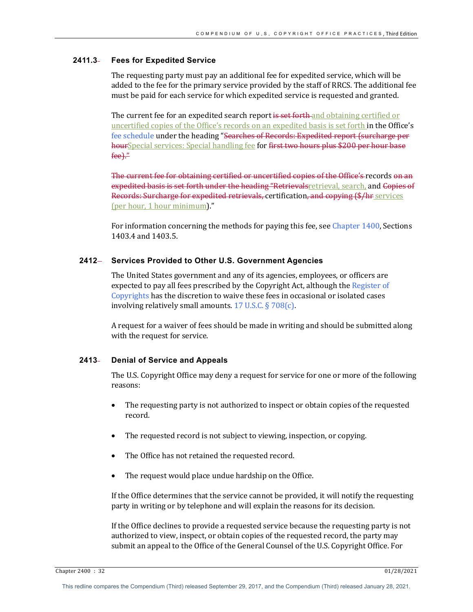# **2411.3 Fees for Expedited Service**

The requesting party must pay an additional fee for expedited service, which will be added to the fee for the primary service provided by the staff of RRCS. The additional fee must be paid for each service for which expedited service is requested and granted.

The current fee for an expedited search report is set forth and obtaining certified or uncertified copies of the Office's records on an expedited basis is set forth in the Office's fee schedule under the heading "Searches of Records: Expedited report (surcharge per hourSpecial services: Special handling fee for first two hours plus \$200 per hour base fee)." 

The current fee for obtaining certified or uncertified copies of the Office's records on an expedited basis is set forth under the heading "Retrievalsretrieval, search, and Copies of Records: Surcharge for expedited retrievals, certification, and copying (\$/hr services (per hour, 1 hour minimum)."

For information concerning the methods for paying this fee, see Chapter  $1400$ , Sections 1403.4 and 1403.5.

#### **2412 Services Provided to Other U.S. Government Agencies**

The United States government and any of its agencies, employees, or officers are expected to pay all fees prescribed by the Copyright Act, although the Register of Copyrights has the discretion to waive these fees in occasional or isolated cases involving relatively small amounts.  $17$  U.S.C. §  $708(c)$ .

A request for a waiver of fees should be made in writing and should be submitted along with the request for service.

# **2413 Denial of Service and Appeals**

The U.S. Copyright Office may deny a request for service for one or more of the following reasons:

- The requesting party is not authorized to inspect or obtain copies of the requested record.
- The requested record is not subject to viewing, inspection, or copying.
- The Office has not retained the requested record.
- The request would place undue hardship on the Office.

If the Office determines that the service cannot be provided, it will notify the requesting party in writing or by telephone and will explain the reasons for its decision.

If the Office declines to provide a requested service because the requesting party is not authorized to view, inspect, or obtain copies of the requested record, the party may submit an appeal to the Office of the General Counsel of the U.S. Copyright Office. For